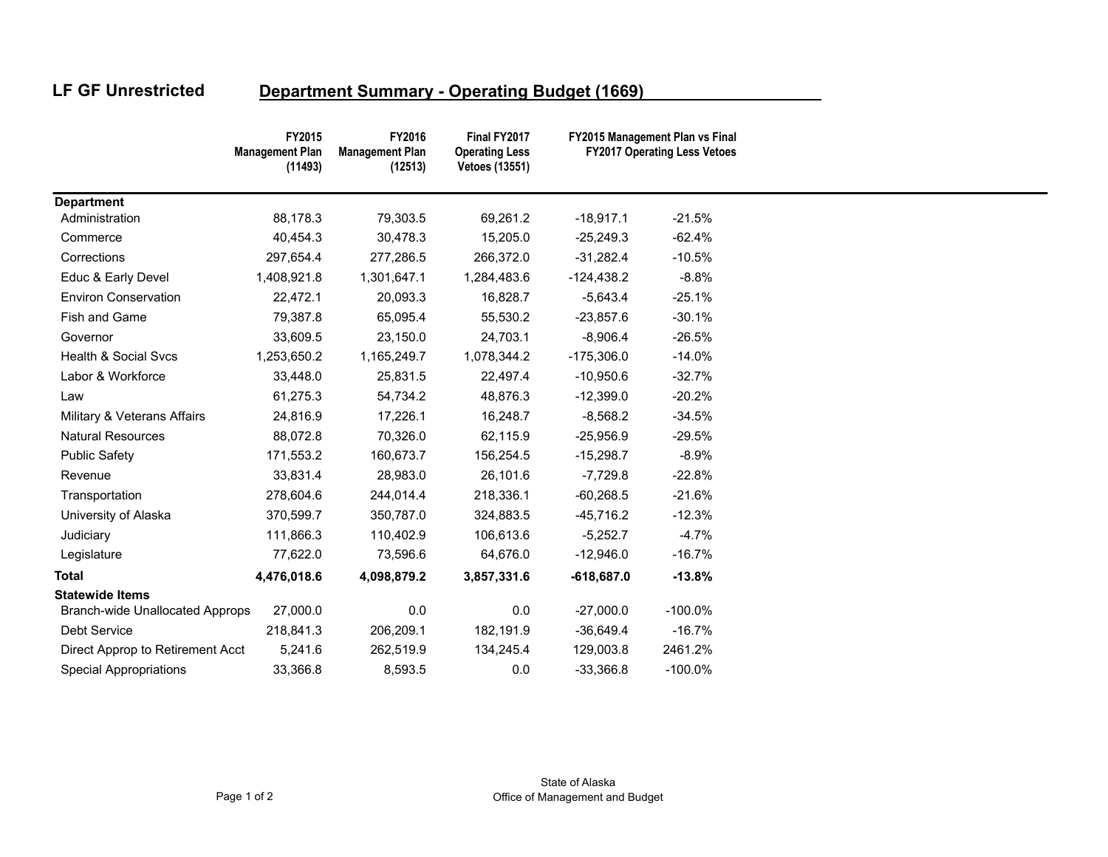## **LF GF Unrestricted**

## **Department Summary - Operating Budget (1669)**

|                                        | FY2015<br><b>Management Plan</b><br>(11493) | FY2016<br><b>Management Plan</b><br>(12513) | Final FY2017<br><b>Operating Less</b><br><b>Vetoes (13551)</b> |              | FY2015 Management Plan vs Final<br><b>FY2017 Operating Less Vetoes</b> |  |
|----------------------------------------|---------------------------------------------|---------------------------------------------|----------------------------------------------------------------|--------------|------------------------------------------------------------------------|--|
| <b>Department</b>                      |                                             |                                             |                                                                |              |                                                                        |  |
| Administration                         | 88,178.3                                    | 79,303.5                                    | 69,261.2                                                       | $-18,917.1$  | $-21.5%$                                                               |  |
| Commerce                               | 40,454.3                                    | 30,478.3                                    | 15,205.0                                                       | $-25,249.3$  | $-62.4%$                                                               |  |
| Corrections                            | 297,654.4                                   | 277,286.5                                   | 266,372.0                                                      | $-31,282.4$  | $-10.5%$                                                               |  |
| Educ & Early Devel                     | 1,408,921.8                                 | 1,301,647.1                                 | 1,284,483.6                                                    | $-124,438.2$ | $-8.8%$                                                                |  |
| <b>Environ Conservation</b>            | 22,472.1                                    | 20,093.3                                    | 16,828.7                                                       | $-5,643.4$   | $-25.1%$                                                               |  |
| Fish and Game                          | 79,387.8                                    | 65,095.4                                    | 55,530.2                                                       | $-23,857.6$  | $-30.1%$                                                               |  |
| Governor                               | 33,609.5                                    | 23,150.0                                    | 24,703.1                                                       | $-8,906.4$   | $-26.5%$                                                               |  |
| Health & Social Svcs                   | 1,253,650.2                                 | 1,165,249.7                                 | 1,078,344.2                                                    | $-175,306.0$ | $-14.0%$                                                               |  |
| Labor & Workforce                      | 33,448.0                                    | 25,831.5                                    | 22,497.4                                                       | $-10,950.6$  | $-32.7%$                                                               |  |
| Law                                    | 61,275.3                                    | 54,734.2                                    | 48,876.3                                                       | $-12,399.0$  | $-20.2%$                                                               |  |
| Military & Veterans Affairs            | 24,816.9                                    | 17,226.1                                    | 16,248.7                                                       | $-8,568.2$   | $-34.5%$                                                               |  |
| <b>Natural Resources</b>               | 88,072.8                                    | 70,326.0                                    | 62,115.9                                                       | $-25,956.9$  | $-29.5%$                                                               |  |
| <b>Public Safety</b>                   | 171,553.2                                   | 160,673.7                                   | 156,254.5                                                      | $-15,298.7$  | $-8.9%$                                                                |  |
| Revenue                                | 33,831.4                                    | 28,983.0                                    | 26,101.6                                                       | $-7,729.8$   | $-22.8%$                                                               |  |
| Transportation                         | 278,604.6                                   | 244,014.4                                   | 218,336.1                                                      | $-60,268.5$  | $-21.6%$                                                               |  |
| University of Alaska                   | 370,599.7                                   | 350,787.0                                   | 324,883.5                                                      | $-45,716.2$  | $-12.3%$                                                               |  |
| Judiciary                              | 111,866.3                                   | 110,402.9                                   | 106,613.6                                                      | $-5,252.7$   | $-4.7%$                                                                |  |
| Legislature                            | 77,622.0                                    | 73,596.6                                    | 64,676.0                                                       | $-12,946.0$  | $-16.7%$                                                               |  |
| <b>Total</b>                           | 4,476,018.6                                 | 4,098,879.2                                 | 3,857,331.6                                                    | $-618,687.0$ | $-13.8%$                                                               |  |
| <b>Statewide Items</b>                 |                                             |                                             |                                                                |              |                                                                        |  |
| <b>Branch-wide Unallocated Approps</b> | 27,000.0                                    | 0.0                                         | 0.0                                                            | $-27,000.0$  | $-100.0\%$                                                             |  |
| Debt Service                           | 218,841.3                                   | 206,209.1                                   | 182,191.9                                                      | $-36,649.4$  | $-16.7%$                                                               |  |
| Direct Approp to Retirement Acct       | 5,241.6                                     | 262,519.9                                   | 134,245.4                                                      | 129,003.8    | 2461.2%                                                                |  |
| <b>Special Appropriations</b>          | 33,366.8                                    | 8,593.5                                     | 0.0                                                            | $-33,366.8$  | $-100.0\%$                                                             |  |